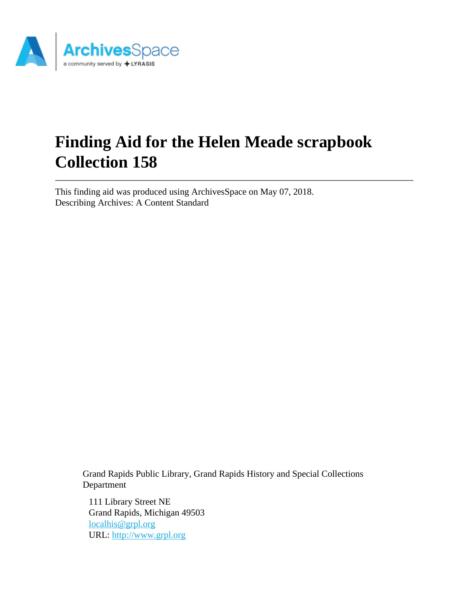

# **Finding Aid for the Helen Meade scrapbook Collection 158**

This finding aid was produced using ArchivesSpace on May 07, 2018. Describing Archives: A Content Standard

> Grand Rapids Public Library, Grand Rapids History and Special Collections Department

111 Library Street NE Grand Rapids, Michigan 49503 [localhis@grpl.org](mailto:localhis@grpl.org) URL:<http://www.grpl.org>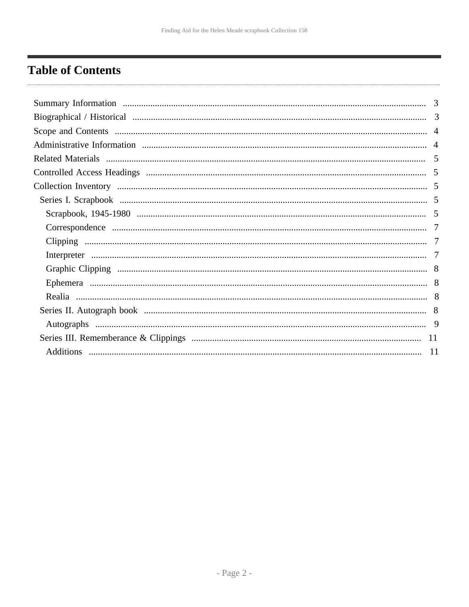# <span id="page-1-0"></span>**Table of Contents**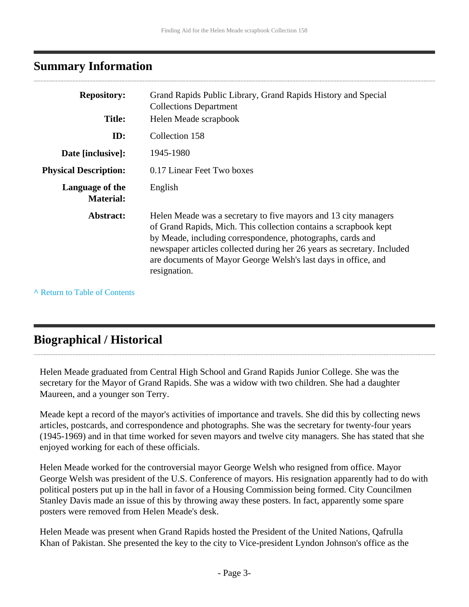# <span id="page-2-0"></span>**Summary Information**

| <b>Repository:</b><br><b>Title:</b> | Grand Rapids Public Library, Grand Rapids History and Special<br><b>Collections Department</b><br>Helen Meade scrapbook                                                                                                                                                                                                                                        |
|-------------------------------------|----------------------------------------------------------------------------------------------------------------------------------------------------------------------------------------------------------------------------------------------------------------------------------------------------------------------------------------------------------------|
| ID:                                 | Collection 158                                                                                                                                                                                                                                                                                                                                                 |
| Date [inclusive]:                   | 1945-1980                                                                                                                                                                                                                                                                                                                                                      |
| <b>Physical Description:</b>        | 0.17 Linear Feet Two boxes                                                                                                                                                                                                                                                                                                                                     |
| Language of the<br><b>Material:</b> | English                                                                                                                                                                                                                                                                                                                                                        |
| Abstract:                           | Helen Meade was a secretary to five mayors and 13 city managers<br>of Grand Rapids, Mich. This collection contains a scrapbook kept<br>by Meade, including correspondence, photographs, cards and<br>newspaper articles collected during her 26 years as secretary. Included<br>are documents of Mayor George Welsh's last days in office, and<br>resignation. |

**^** [Return to Table of Contents](#page-1-0)

# <span id="page-2-1"></span>**Biographical / Historical**

Helen Meade graduated from Central High School and Grand Rapids Junior College. She was the secretary for the Mayor of Grand Rapids. She was a widow with two children. She had a daughter Maureen, and a younger son Terry.

Meade kept a record of the mayor's activities of importance and travels. She did this by collecting news articles, postcards, and correspondence and photographs. She was the secretary for twenty-four years (1945-1969) and in that time worked for seven mayors and twelve city managers. She has stated that she enjoyed working for each of these officials.

Helen Meade worked for the controversial mayor George Welsh who resigned from office. Mayor George Welsh was president of the U.S. Conference of mayors. His resignation apparently had to do with political posters put up in the hall in favor of a Housing Commission being formed. City Councilmen Stanley Davis made an issue of this by throwing away these posters. In fact, apparently some spare posters were removed from Helen Meade's desk.

Helen Meade was present when Grand Rapids hosted the President of the United Nations, Qafrulla Khan of Pakistan. She presented the key to the city to Vice-president Lyndon Johnson's office as the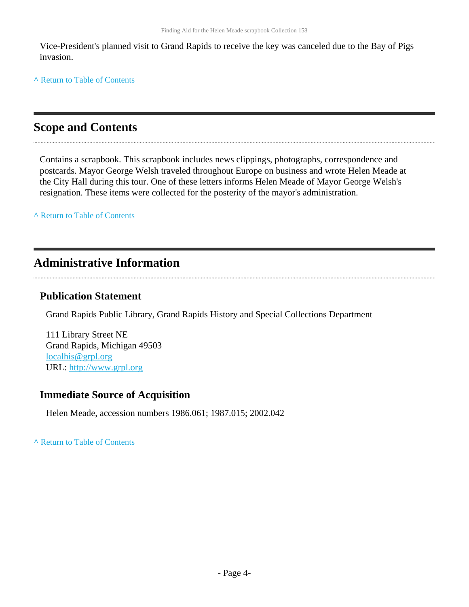Vice-President's planned visit to Grand Rapids to receive the key was canceled due to the Bay of Pigs invasion.

**^** [Return to Table of Contents](#page-1-0)

# <span id="page-3-0"></span>**Scope and Contents**

Contains a scrapbook. This scrapbook includes news clippings, photographs, correspondence and postcards. Mayor George Welsh traveled throughout Europe on business and wrote Helen Meade at the City Hall during this tour. One of these letters informs Helen Meade of Mayor George Welsh's resignation. These items were collected for the posterity of the mayor's administration.

**^** [Return to Table of Contents](#page-1-0)

# <span id="page-3-1"></span>**Administrative Information**

# **Publication Statement**

Grand Rapids Public Library, Grand Rapids History and Special Collections Department

111 Library Street NE Grand Rapids, Michigan 49503 [localhis@grpl.org](mailto:localhis@grpl.org) URL:<http://www.grpl.org>

# **Immediate Source of Acquisition**

Helen Meade, accession numbers 1986.061; 1987.015; 2002.042

**^** [Return to Table of Contents](#page-1-0)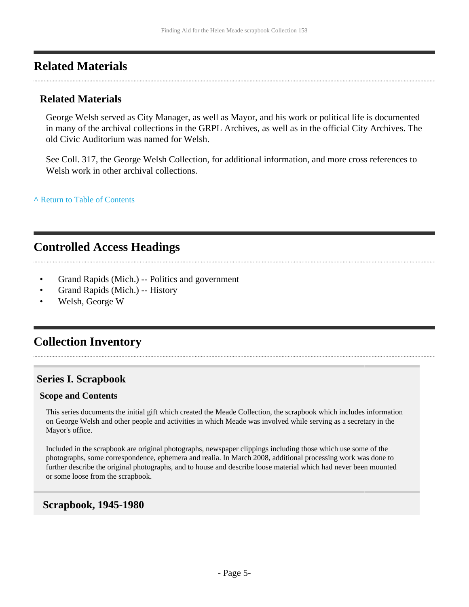# <span id="page-4-0"></span>**Related Materials**

### **Related Materials**

George Welsh served as City Manager, as well as Mayor, and his work or political life is documented in many of the archival collections in the GRPL Archives, as well as in the official City Archives. The old Civic Auditorium was named for Welsh.

See Coll. 317, the George Welsh Collection, for additional information, and more cross references to Welsh work in other archival collections.

**^** [Return to Table of Contents](#page-1-0)

# <span id="page-4-1"></span>**Controlled Access Headings**

- Grand Rapids (Mich.) -- Politics and government
- Grand Rapids (Mich.) -- History
- Welsh, George W

# <span id="page-4-2"></span>**Collection Inventory**

# <span id="page-4-3"></span>**Series I. Scrapbook**

#### **Scope and Contents**

This series documents the initial gift which created the Meade Collection, the scrapbook which includes information on George Welsh and other people and activities in which Meade was involved while serving as a secretary in the Mayor's office.

Included in the scrapbook are original photographs, newspaper clippings including those which use some of the photographs, some correspondence, ephemera and realia. In March 2008, additional processing work was done to further describe the original photographs, and to house and describe loose material which had never been mounted or some loose from the scrapbook.

### <span id="page-4-4"></span>**Scrapbook, 1945-1980**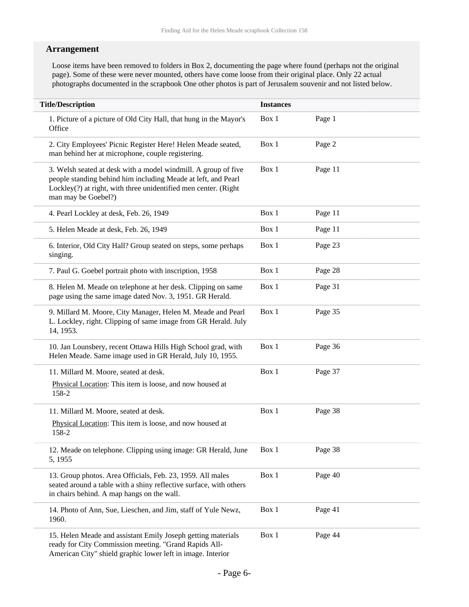### **Arrangement**

Loose items have been removed to folders in Box 2, documenting the page where found (perhaps not the original page). Some of these were never mounted, others have come loose from their original place. Only 22 actual photographs documented in the scrapbook One other photos is part of Jerusalem souvenir and not listed below.

| <b>Title/Description</b>                                                                                                                                                                                                  | <b>Instances</b> |         |
|---------------------------------------------------------------------------------------------------------------------------------------------------------------------------------------------------------------------------|------------------|---------|
| 1. Picture of a picture of Old City Hall, that hung in the Mayor's<br>Office                                                                                                                                              | Box 1            | Page 1  |
| 2. City Employees' Picnic Register Here! Helen Meade seated,<br>man behind her at microphone, couple registering.                                                                                                         | Box 1            | Page 2  |
| 3. Welsh seated at desk with a model windmill. A group of five<br>people standing behind him including Meade at left, and Pearl<br>Lockley(?) at right, with three unidentified men center. (Right<br>man may be Goebel?) | Box 1            | Page 11 |
| 4. Pearl Lockley at desk, Feb. 26, 1949                                                                                                                                                                                   | Box 1            | Page 11 |
| 5. Helen Meade at desk, Feb. 26, 1949                                                                                                                                                                                     | Box 1            | Page 11 |
| 6. Interior, Old City Hall? Group seated on steps, some perhaps<br>singing.                                                                                                                                               | Box 1            | Page 23 |
| 7. Paul G. Goebel portrait photo with inscription, 1958                                                                                                                                                                   | Box 1            | Page 28 |
| 8. Helen M. Meade on telephone at her desk. Clipping on same<br>page using the same image dated Nov. 3, 1951. GR Herald.                                                                                                  | Box 1            | Page 31 |
| 9. Millard M. Moore, City Manager, Helen M. Meade and Pearl<br>L. Lockley, right. Clipping of same image from GR Herald. July<br>14, 1953.                                                                                | Box 1            | Page 35 |
| 10. Jan Lounsbery, recent Ottawa Hills High School grad, with<br>Helen Meade. Same image used in GR Herald, July 10, 1955.                                                                                                | Box 1            | Page 36 |
| 11. Millard M. Moore, seated at desk.                                                                                                                                                                                     | Box 1            | Page 37 |
| Physical Location: This item is loose, and now housed at<br>158-2                                                                                                                                                         |                  |         |
| 11. Millard M. Moore, seated at desk.                                                                                                                                                                                     | Box 1            | Page 38 |
| Physical Location: This item is loose, and now housed at<br>158-2                                                                                                                                                         |                  |         |
| 12. Meade on telephone. Clipping using image: GR Herald, June<br>5, 1955                                                                                                                                                  | Box 1            | Page 38 |
| 13. Group photos. Area Officials, Feb. 23, 1959. All males<br>seated around a table with a shiny reflective surface, with others<br>in chairs behind. A map hangs on the wall.                                            | Box 1            | Page 40 |
| 14. Photo of Ann, Sue, Lieschen, and Jim, staff of Yule Newz,<br>1960.                                                                                                                                                    | Box 1            | Page 41 |
| 15. Helen Meade and assistant Emily Joseph getting materials<br>ready for City Commission meeting. "Grand Rapids All-<br>American City" shield graphic lower left in image. Interior                                      | Box 1            | Page 44 |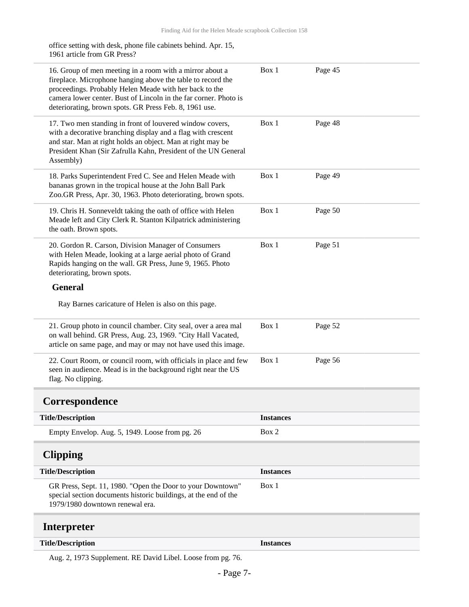office setting with desk, phone file cabinets behind. Apr. 15, 1961 article from GR Press?

| 16. Group of men meeting in a room with a mirror about a<br>fireplace. Microphone hanging above the table to record the<br>proceedings. Probably Helen Meade with her back to the<br>camera lower center. Bust of Lincoln in the far corner. Photo is<br>deteriorating, brown spots. GR Press Feb. 8, 1961 use. | Box 1            | Page 45 |
|-----------------------------------------------------------------------------------------------------------------------------------------------------------------------------------------------------------------------------------------------------------------------------------------------------------------|------------------|---------|
| 17. Two men standing in front of louvered window covers,<br>with a decorative branching display and a flag with crescent<br>and star. Man at right holds an object. Man at right may be<br>President Khan (Sir Zafrulla Kahn, President of the UN General<br>Assembly)                                          | Box 1            | Page 48 |
| 18. Parks Superintendent Fred C. See and Helen Meade with<br>bananas grown in the tropical house at the John Ball Park<br>Zoo.GR Press, Apr. 30, 1963. Photo deteriorating, brown spots.                                                                                                                        | Box 1            | Page 49 |
| 19. Chris H. Sonneveldt taking the oath of office with Helen<br>Meade left and City Clerk R. Stanton Kilpatrick administering<br>the oath. Brown spots.                                                                                                                                                         | Box 1            | Page 50 |
| 20. Gordon R. Carson, Division Manager of Consumers<br>with Helen Meade, looking at a large aerial photo of Grand<br>Rapids hanging on the wall. GR Press, June 9, 1965. Photo<br>deteriorating, brown spots.                                                                                                   | Box 1            | Page 51 |
| <b>General</b>                                                                                                                                                                                                                                                                                                  |                  |         |
| Ray Barnes caricature of Helen is also on this page.                                                                                                                                                                                                                                                            |                  |         |
| 21. Group photo in council chamber. City seal, over a area mal<br>on wall behind. GR Press, Aug. 23, 1969. "City Hall Vacated,<br>article on same page, and may or may not have used this image.                                                                                                                | Box 1            | Page 52 |
| 22. Court Room, or council room, with officials in place and few<br>seen in audience. Mead is in the background right near the US<br>flag. No clipping.                                                                                                                                                         | Box 1            | Page 56 |
| Correspondence                                                                                                                                                                                                                                                                                                  |                  |         |
| <b>Title/Description</b>                                                                                                                                                                                                                                                                                        | <b>Instances</b> |         |
| Empty Envelop. Aug. 5, 1949. Loose from pg. 26                                                                                                                                                                                                                                                                  | Box 2            |         |
| <b>Clipping</b>                                                                                                                                                                                                                                                                                                 |                  |         |
| <b>Title/Description</b>                                                                                                                                                                                                                                                                                        | <b>Instances</b> |         |
| GR Press, Sept. 11, 1980. "Open the Door to your Downtown"<br>special section documents historic buildings, at the end of the<br>1979/1980 downtown renewal era.                                                                                                                                                | Box 1            |         |
| <b>Interpreter</b>                                                                                                                                                                                                                                                                                              |                  |         |
| <b>Title/Description</b>                                                                                                                                                                                                                                                                                        | <b>Instances</b> |         |
|                                                                                                                                                                                                                                                                                                                 |                  |         |

<span id="page-6-2"></span><span id="page-6-1"></span><span id="page-6-0"></span>Aug. 2, 1973 Supplement. RE David Libel. Loose from pg. 76.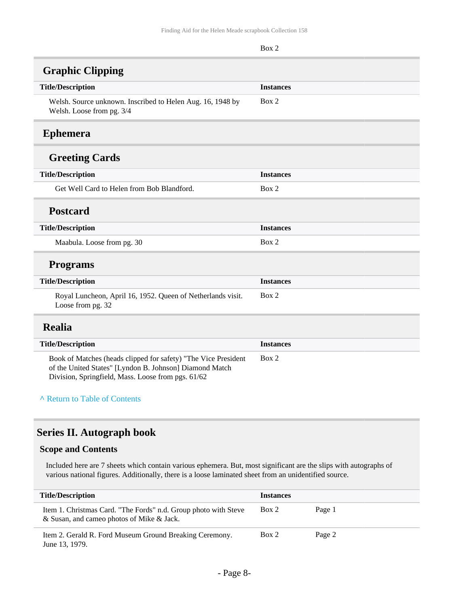<span id="page-7-1"></span><span id="page-7-0"></span>

| Finding Aid for the Helen Meade scrapbook Collection 158                                                                  |                  |  |
|---------------------------------------------------------------------------------------------------------------------------|------------------|--|
|                                                                                                                           | Box 2            |  |
| <b>Graphic Clipping</b>                                                                                                   |                  |  |
| <b>Title/Description</b>                                                                                                  | <b>Instances</b> |  |
| Welsh. Source unknown. Inscribed to Helen Aug. 16, 1948 by<br>Welsh. Loose from pg. 3/4                                   | Box 2            |  |
| <b>Ephemera</b>                                                                                                           |                  |  |
| <b>Greeting Cards</b>                                                                                                     |                  |  |
| <b>Title/Description</b>                                                                                                  | <b>Instances</b> |  |
| Get Well Card to Helen from Bob Blandford.                                                                                | Box 2            |  |
| <b>Postcard</b>                                                                                                           |                  |  |
| <b>Title/Description</b>                                                                                                  | <b>Instances</b> |  |
| Maabula. Loose from pg. 30                                                                                                | Box 2            |  |
| <b>Programs</b>                                                                                                           |                  |  |
| <b>Title/Description</b>                                                                                                  | <b>Instances</b> |  |
| Royal Luncheon, April 16, 1952. Queen of Netherlands visit.<br>Loose from pg. 32                                          | Box 2            |  |
| <b>Realia</b>                                                                                                             |                  |  |
| <b>Title/Description</b>                                                                                                  | <b>Instances</b> |  |
| Book of Matches (heads clipped for safety) "The Vice President<br>of the United States" [Lyndon B. Johnson] Diamond Match | Box 2            |  |

**^** [Return to Table of Contents](#page-1-0)

<span id="page-7-2"></span>Division, Springfield, Mass. Loose from pgs. 61/62

### <span id="page-7-3"></span>**Series II. Autograph book**

#### **Scope and Contents**

Included here are 7 sheets which contain various ephemera. But, most significant are the slips with autographs of various national figures. Additionally, there is a loose laminated sheet from an unidentified source.

| <b>Title/Description</b>                                                                                     | <b>Instances</b> |        |
|--------------------------------------------------------------------------------------------------------------|------------------|--------|
| Item 1. Christmas Card. "The Fords" n.d. Group photo with Steve<br>& Susan, and cameo photos of Mike & Jack. | Box 2            | Page 1 |
| Item 2. Gerald R. Ford Museum Ground Breaking Ceremony.<br>June 13, 1979.                                    | Box 2            | Page 2 |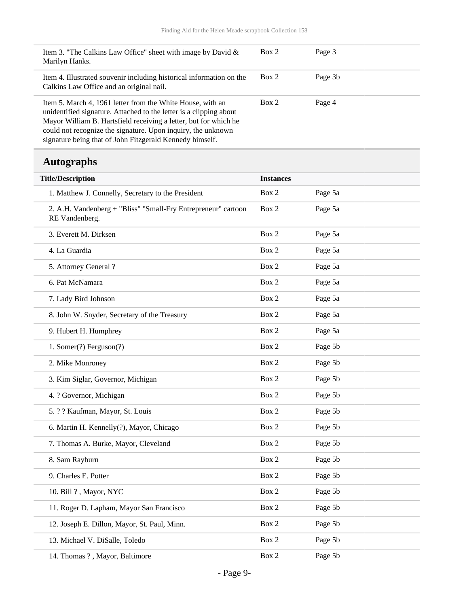| Item 3. "The Calkins Law Office" sheet with image by David &<br>Marilyn Hanks.                                                                                                                                                                                                                                                   | Box 2                 | Page 3              |
|----------------------------------------------------------------------------------------------------------------------------------------------------------------------------------------------------------------------------------------------------------------------------------------------------------------------------------|-----------------------|---------------------|
| Item 4. Illustrated souvenir including historical information on the<br>Calkins Law Office and an original nail.                                                                                                                                                                                                                 | Box 2                 | Page 3b             |
| Item 5. March 4, 1961 letter from the White House, with an<br>unidentified signature. Attached to the letter is a clipping about<br>Mayor William B. Hartsfield receiving a letter, but for which he<br>could not recognize the signature. Upon inquiry, the unknown<br>signature being that of John Fitzgerald Kennedy himself. | Box 2                 | Page 4              |
| <b>Autographs</b>                                                                                                                                                                                                                                                                                                                |                       |                     |
| <b>Title/Description</b>                                                                                                                                                                                                                                                                                                         | <b>Instances</b>      |                     |
| 1. Matthew J. Connelly, Secretary to the President                                                                                                                                                                                                                                                                               | Box 2                 | Page 5a             |
| 2. A.H. Vandenberg + "Bliss" "Small-Fry Entrepreneur" cartoon<br>RE Vandenberg.                                                                                                                                                                                                                                                  | Box 2                 | Page 5a             |
| 2 Everett M. Dirkson                                                                                                                                                                                                                                                                                                             | $\mathbf{R}_{\alpha}$ | $_{\text{Para }5a}$ |

<span id="page-8-0"></span>

| $\mathbb{R}$ valuellerg.                     |       |         |
|----------------------------------------------|-------|---------|
| 3. Everett M. Dirksen                        | Box 2 | Page 5a |
| 4. La Guardia                                | Box 2 | Page 5a |
| 5. Attorney General ?                        | Box 2 | Page 5a |
| 6. Pat McNamara                              | Box 2 | Page 5a |
| 7. Lady Bird Johnson                         | Box 2 | Page 5a |
| 8. John W. Snyder, Secretary of the Treasury | Box 2 | Page 5a |
| 9. Hubert H. Humphrey                        | Box 2 | Page 5a |
| 1. Somer(?) Ferguson(?)                      | Box 2 | Page 5b |
| 2. Mike Monroney                             | Box 2 | Page 5b |
| 3. Kim Siglar, Governor, Michigan            | Box 2 | Page 5b |
| 4. ? Governor, Michigan                      | Box 2 | Page 5b |
| 5. ? ? Kaufman, Mayor, St. Louis             | Box 2 | Page 5b |
| 6. Martin H. Kennelly(?), Mayor, Chicago     | Box 2 | Page 5b |
| 7. Thomas A. Burke, Mayor, Cleveland         | Box 2 | Page 5b |
| 8. Sam Rayburn                               | Box 2 | Page 5b |
| 9. Charles E. Potter                         | Box 2 | Page 5b |
| 10. Bill ?, Mayor, NYC                       | Box 2 | Page 5b |
| 11. Roger D. Lapham, Mayor San Francisco     | Box 2 | Page 5b |
| 12. Joseph E. Dillon, Mayor, St. Paul, Minn. | Box 2 | Page 5b |
| 13. Michael V. DiSalle, Toledo               | Box 2 | Page 5b |
| 14. Thomas ?, Mayor, Baltimore               | Box 2 | Page 5b |
|                                              |       |         |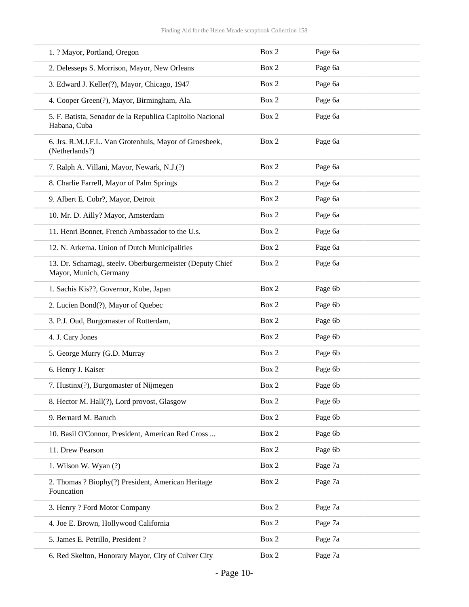| 1. ? Mayor, Portland, Oregon                                                         | Box 2 | Page 6a |
|--------------------------------------------------------------------------------------|-------|---------|
| 2. Delesseps S. Morrison, Mayor, New Orleans                                         | Box 2 | Page 6a |
| 3. Edward J. Keller(?), Mayor, Chicago, 1947                                         | Box 2 | Page 6a |
| 4. Cooper Green(?), Mayor, Birmingham, Ala.                                          | Box 2 | Page 6a |
| 5. F. Batista, Senador de la Republica Capitolio Nacional<br>Habana, Cuba            | Box 2 | Page 6a |
| 6. Jrs. R.M.J.F.L. Van Grotenhuis, Mayor of Groesbeek,<br>(Netherlands?)             | Box 2 | Page 6a |
| 7. Ralph A. Villani, Mayor, Newark, N.J.(?)                                          | Box 2 | Page 6a |
| 8. Charlie Farrell, Mayor of Palm Springs                                            | Box 2 | Page 6a |
| 9. Albert E. Cobr?, Mayor, Detroit                                                   | Box 2 | Page 6a |
| 10. Mr. D. Ailly? Mayor, Amsterdam                                                   | Box 2 | Page 6a |
| 11. Henri Bonnet, French Ambassador to the U.s.                                      | Box 2 | Page 6a |
| 12. N. Arkema. Union of Dutch Municipalities                                         | Box 2 | Page 6a |
| 13. Dr. Scharnagi, steelv. Oberburgermeister (Deputy Chief<br>Mayor, Munich, Germany | Box 2 | Page 6a |
| 1. Sachis Kis??, Governor, Kobe, Japan                                               | Box 2 | Page 6b |
| 2. Lucien Bond(?), Mayor of Quebec                                                   | Box 2 | Page 6b |
| 3. P.J. Oud, Burgomaster of Rotterdam,                                               | Box 2 | Page 6b |
| 4. J. Cary Jones                                                                     | Box 2 | Page 6b |
| 5. George Murry (G.D. Murray                                                         | Box 2 | Page 6b |
| 6. Henry J. Kaiser                                                                   | Box 2 | Page 6b |
| 7. Hustinx(?), Burgomaster of Nijmegen                                               | Box 2 | Page 6b |
| 8. Hector M. Hall(?), Lord provost, Glasgow                                          | Box 2 | Page 6b |
| 9. Bernard M. Baruch                                                                 | Box 2 | Page 6b |
| 10. Basil O'Connor, President, American Red Cross                                    | Box 2 | Page 6b |
| 11. Drew Pearson                                                                     | Box 2 | Page 6b |
| 1. Wilson W. Wyan (?)                                                                | Box 2 | Page 7a |
| 2. Thomas ? Biophy(?) President, American Heritage<br>Founcation                     | Box 2 | Page 7a |
| 3. Henry ? Ford Motor Company                                                        | Box 2 | Page 7a |
| 4. Joe E. Brown, Hollywood California                                                | Box 2 | Page 7a |
| 5. James E. Petrillo, President ?                                                    | Box 2 | Page 7a |
| 6. Red Skelton, Honorary Mayor, City of Culver City                                  | Box 2 | Page 7a |